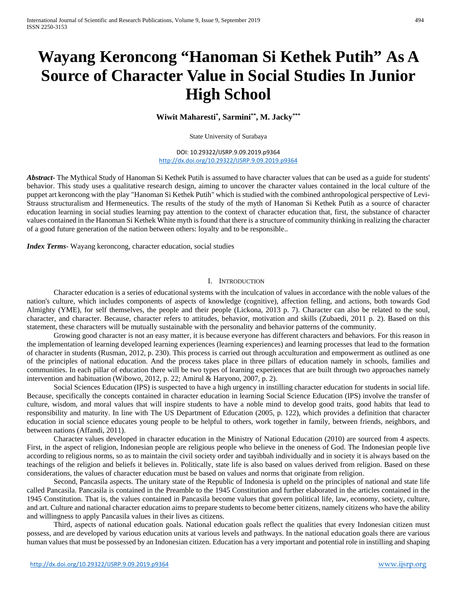# **Wayang Keroncong "Hanoman Si Kethek Putih" As A Source of Character Value in Social Studies In Junior High School**

**Wiwit Maharesti\* , Sarmini\*\*, M. Jacky\*\*\***

State University of Surabaya

DOI: 10.29322/IJSRP.9.09.2019.p9364 <http://dx.doi.org/10.29322/IJSRP.9.09.2019.p9364>

*Abstract***-** The Mythical Study of Hanoman Si Kethek Putih is assumed to have character values that can be used as a guide for students' behavior. This study uses a qualitative research design, aiming to uncover the character values contained in the local culture of the puppet art keroncong with the play "Hanoman Si Kethek Putih" which is studied with the combined anthropological perspective of Levi-Strauss structuralism and Hermeneutics. The results of the study of the myth of Hanoman Si Kethek Putih as a source of character education learning in social studies learning pay attention to the context of character education that, first, the substance of character values contained in the Hanoman Si Kethek White myth is found that there is a structure of community thinking in realizing the character of a good future generation of the nation between others: loyalty and to be responsible..

*Index Terms*- Wayang keroncong, character education, social studies

#### I. INTRODUCTION

Character education is a series of educational systems with the inculcation of values in accordance with the noble values of the nation's culture, which includes components of aspects of knowledge (cognitive), affection felling, and actions, both towards God Almighty (YME), for self themselves, the people and their people (Lickona, 2013 p. 7). Character can also be related to the soul, character, and character. Because, character refers to attitudes, behavior, motivation and skills (Zubaedi, 2011 p. 2). Based on this statement, these characters will be mutually sustainable with the personality and behavior patterns of the community.

Growing good character is not an easy matter, it is because everyone has different characters and behaviors. For this reason in the implementation of learning developed learning experiences (learning experiences) and learning processes that lead to the formation of character in students (Rusman, 2012, p. 230). This process is carried out through acculturation and empowerment as outlined as one of the principles of national education. And the process takes place in three pillars of education namely in schools, families and communities. In each pillar of education there will be two types of learning experiences that are built through two approaches namely intervention and habituation (Wibowo, 2012, p. 22; Amirul & Haryono, 2007, p. 2).

Social Sciences Education (IPS) is suspected to have a high urgency in instilling character education for students in social life. Because, specifically the concepts contained in character education in learning Social Science Education (IPS) involve the transfer of culture, wisdom, and moral values that will inspire students to have a noble mind to develop good traits, good habits that lead to responsibility and maturity. In line with The US Department of Education (2005, p. 122), which provides a definition that character education in social science educates young people to be helpful to others, work together in family, between friends, neighbors, and between nations (Affandi, 2011).

Character values developed in character education in the Ministry of National Education (2010) are sourced from 4 aspects. First, in the aspect of religion, Indonesian people are religious people who believe in the oneness of God. The Indonesian people live according to religious norms, so as to maintain the civil society order and tayibbah individually and in society it is always based on the teachings of the religion and beliefs it believes in. Politically, state life is also based on values derived from religion. Based on these considerations, the values of character education must be based on values and norms that originate from religion.

Second, Pancasila aspects. The unitary state of the Republic of Indonesia is upheld on the principles of national and state life called Pancasila. Pancasila is contained in the Preamble to the 1945 Constitution and further elaborated in the articles contained in the 1945 Constitution. That is, the values contained in Pancasila become values that govern political life, law, economy, society, culture, and art. Culture and national character education aims to prepare students to become better citizens, namely citizens who have the ability and willingness to apply Pancasila values in their lives as citizens.

Third, aspects of national education goals. National education goals reflect the qualities that every Indonesian citizen must possess, and are developed by various education units at various levels and pathways. In the national education goals there are various human values that must be possessed by an Indonesian citizen. Education has a very important and potential role in instilling and shaping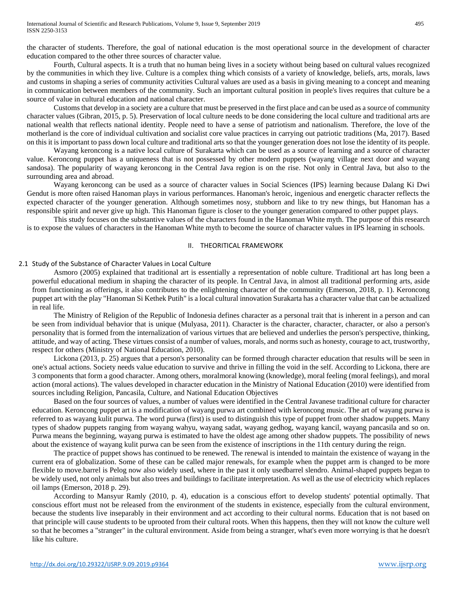the character of students. Therefore, the goal of national education is the most operational source in the development of character education compared to the other three sources of character value.

Fourth, Cultural aspects. It is a truth that no human being lives in a society without being based on cultural values recognized by the communities in which they live. Culture is a complex thing which consists of a variety of knowledge, beliefs, arts, morals, laws and customs in shaping a series of community activities Cultural values are used as a basis in giving meaning to a concept and meaning in communication between members of the community. Such an important cultural position in people's lives requires that culture be a source of value in cultural education and national character.

Customs that develop in a society are a culture that must be preserved in the first place and can be used as a source of community character values (Gibran, 2015, p. 5). Preservation of local culture needs to be done considering the local culture and traditional arts are national wealth that reflects national identity. People need to have a sense of patriotism and nationalism. Therefore, the love of the motherland is the core of individual cultivation and socialist core value practices in carrying out patriotic traditions (Ma, 2017). Based on this it is important to pass down local culture and traditional arts so that the younger generation does not lose the identity of its people.

Wayang keroncong is a native local culture of Surakarta which can be used as a source of learning and a source of character value. Keroncong puppet has a uniqueness that is not possessed by other modern puppets (wayang village next door and wayang sandosa). The popularity of wayang keroncong in the Central Java region is on the rise. Not only in Central Java, but also to the surrounding area and abroad.

Wayang keroncong can be used as a source of character values in Social Sciences (IPS) learning because Dalang Ki Dwi Gendut is more often raised Hanoman plays in various performances. Hanoman's heroic, ingenious and energetic character reflects the expected character of the younger generation. Although sometimes nosy, stubborn and like to try new things, but Hanoman has a responsible spirit and never give up high. This Hanoman figure is closer to the younger generation compared to other puppet plays.

This study focuses on the substantive values of the characters found in the Hanoman White myth. The purpose of this research is to expose the values of characters in the Hanoman White myth to become the source of character values in IPS learning in schools.

#### II. THEORITICAL FRAMEWORK

## 2.1 Study of the Substance of Character Values in Local Culture

Asmoro (2005) explained that traditional art is essentially a representation of noble culture. Traditional art has long been a powerful educational medium in shaping the character of its people. In Central Java, in almost all traditional performing arts, aside from functioning as offerings, it also contributes to the enlightening character of the community (Emerson, 2018, p. 1). Keroncong puppet art with the play "Hanoman Si Kethek Putih" is a local cultural innovation Surakarta has a character value that can be actualized in real life.

The Ministry of Religion of the Republic of Indonesia defines character as a personal trait that is inherent in a person and can be seen from individual behavior that is unique (Mulyasa, 2011). Character is the character, character, character, or also a person's personality that is formed from the internalization of various virtues that are believed and underlies the person's perspective, thinking, attitude, and way of acting. These virtues consist of a number of values, morals, and norms such as honesty, courage to act, trustworthy, respect for others (Ministry of National Education, 2010).

Lickona (2013, p. 25) argues that a person's personality can be formed through character education that results will be seen in one's actual actions. Society needs value education to survive and thrive in filling the void in the self. According to Lickona, there are 3 components that form a good character. Among others, moralmoral knowing (knowledge), moral feeling (moral feelings), and moral action (moral actions). The values developed in character education in the Ministry of National Education (2010) were identified from sources including Religion, Pancasila, Culture, and National Education Objectives

Based on the four sources of values, a number of values were identified in the Central Javanese traditional culture for character education. Keroncong puppet art is a modification of wayang purwa art combined with keroncong music. The art of wayang purwa is referred to as wayang kulit purwa. The word purwa (first) is used to distinguish this type of puppet from other shadow puppets. Many types of shadow puppets ranging from wayang wahyu, wayang sadat, wayang gedhog, wayang kancil, wayang pancasila and so on. Purwa means the beginning, wayang purwa is estimated to have the oldest age among other shadow puppets. The possibility of news about the existence of wayang kulit purwa can be seen from the existence of inscriptions in the 11th century during the reign.

The practice of puppet shows has continued to be renewed. The renewal is intended to maintain the existence of wayang in the current era of globalization. Some of these can be called major renewals, for example when the puppet arm is changed to be more flexible to move.barrel is Pelog now also widely used, where in the past it only usedbarrel slendro. Animal-shaped puppets began to be widely used, not only animals but also trees and buildings to facilitate interpretation. As well as the use of electricity which replaces oil lamps (Emerson, 2018 p. 29).

According to Mansyur Ramly (2010, p. 4), education is a conscious effort to develop students' potential optimally. That conscious effort must not be released from the environment of the students in existence, especially from the cultural environment, because the students live inseparably in their environment and act according to their cultural norms. Education that is not based on that principle will cause students to be uprooted from their cultural roots. When this happens, then they will not know the culture well so that he becomes a "stranger" in the cultural environment. Aside from being a stranger, what's even more worrying is that he doesn't like his culture.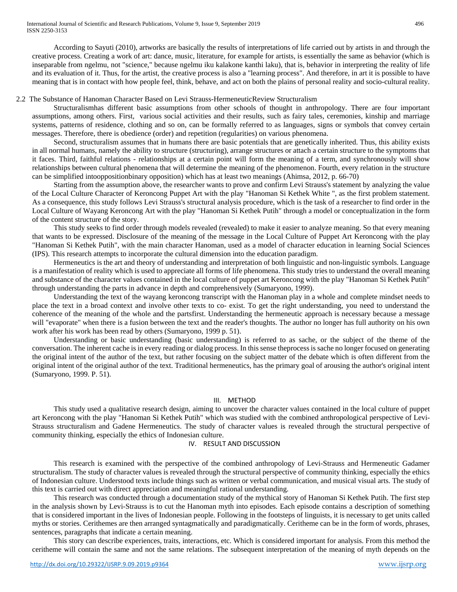According to Sayuti (2010), artworks are basically the results of interpretations of life carried out by artists in and through the creative process. Creating a work of art: dance, music, literature, for example for artists, is essentially the same as behavior (which is inseparable from ngelmu, not "science," because ngelmu iku kalakone kanthi laku), that is, behavior in interpreting the reality of life and its evaluation of it. Thus, for the artist, the creative process is also a "learning process". And therefore, in art it is possible to have meaning that is in contact with how people feel, think, behave, and act on both the plains of personal reality and socio-cultural reality.

# 2.2 The Substance of Hanoman Character Based on Levi Strauss-HermeneuticReview Structuralism

Structuralismhas different basic assumptions from other schools of thought in anthropology. There are four important assumptions, among others. First, various social activities and their results, such as fairy tales, ceremonies, kinship and marriage systems, patterns of residence, clothing and so on, can be formally referred to as languages, signs or symbols that convey certain messages. Therefore, there is obedience (order) and repetition (regularities) on various phenomena.

Second, structuralism assumes that in humans there are basic potentials that are genetically inherited. Thus, this ability exists in all normal humans, namely the ability to structure (structuring), arrange structures or attach a certain structure to the symptoms that it faces. Third, faithful relations - relationships at a certain point will form the meaning of a term, and synchronously will show relationships between cultural phenomena that will determine the meaning of the phenomenon. Fourth, every relation in the structure can be simplified intooppositionbinary opposition) which has at least two meanings (Ahimsa, 2012, p. 66-70)

Starting from the assumption above, the researcher wants to prove and confirm Levi Strauss's statement by analyzing the value of the Local Culture Character of Keroncong Puppet Art with the play "Hanoman Si Kethek White ", as the first problem statement. As a consequence, this study follows Levi Strauss's structural analysis procedure, which is the task of a researcher to find order in the Local Culture of Wayang Keroncong Art with the play "Hanoman Si Kethek Putih" through a model or conceptualization in the form of the content structure of the story.

This study seeks to find order through models revealed (revealed) to make it easier to analyze meaning. So that every meaning that wants to be expressed. Disclosure of the meaning of the message in the Local Culture of Puppet Art Keroncong with the play "Hanoman Si Kethek Putih", with the main character Hanoman, used as a model of character education in learning Social Sciences (IPS). This research attempts to incorporate the cultural dimension into the education paradigm.

Hermeneutics is the art and theory of understanding and interpretation of both linguistic and non-linguistic symbols. Language is a manifestation of reality which is used to appreciate all forms of life phenomena. This study tries to understand the overall meaning and substance of the character values contained in the local culture of puppet art Keroncong with the play "Hanoman Si Kethek Putih" through understanding the parts in advance in depth and comprehensively (Sumaryono, 1999).

Understanding the text of the wayang keroncong transcript with the Hanoman play in a whole and complete mindset needs to place the text in a broad context and involve other texts to co- exist. To get the right understanding, you need to understand the coherence of the meaning of the whole and the partsfirst. Understanding the hermeneutic approach is necessary because a message will "evaporate" when there is a fusion between the text and the reader's thoughts. The author no longer has full authority on his own work after his work has been read by others (Sumaryono, 1999 p. 51).

Understanding or basic understanding (basic understanding) is referred to as sache, or the subject of the theme of the conversation. The inherent cache is in every reading or dialog process. In this sense theprocess is sache no longer focused on generating the original intent of the author of the text, but rather focusing on the subject matter of the debate which is often different from the original intent of the original author of the text. Traditional hermeneutics, has the primary goal of arousing the author's original intent (Sumaryono, 1999. P. 51).

## III. METHOD

This study used a qualitative research design, aiming to uncover the character values contained in the local culture of puppet art Keroncong with the play "Hanoman Si Kethek Putih" which was studied with the combined anthropological perspective of Levi-Strauss structuralism and Gadene Hermeneutics. The study of character values is revealed through the structural perspective of community thinking, especially the ethics of Indonesian culture.

## IV. RESULT AND DISCUSSION

This research is examined with the perspective of the combined anthropology of Levi-Strauss and Hermeneutic Gadamer structuralism. The study of character values is revealed through the structural perspective of community thinking, especially the ethics of Indonesian culture. Understood texts include things such as written or verbal communication, and musical visual arts. The study of this text is carried out with direct appreciation and meaningful rational understanding.

This research was conducted through a documentation study of the mythical story of Hanoman Si Kethek Putih. The first step in the analysis shown by Levi-Strauss is to cut the Hanoman myth into episodes. Each episode contains a description of something that is considered important in the lives of Indonesian people. Following in the footsteps of linguists, it is necessary to get units called myths or stories. Cerithemes are then arranged syntagmatically and paradigmatically. Ceritheme can be in the form of words, phrases, sentences, paragraphs that indicate a certain meaning.

This story can describe experiences, traits, interactions, etc. Which is considered important for analysis. From this method the ceritheme will contain the same and not the same relations. The subsequent interpretation of the meaning of myth depends on the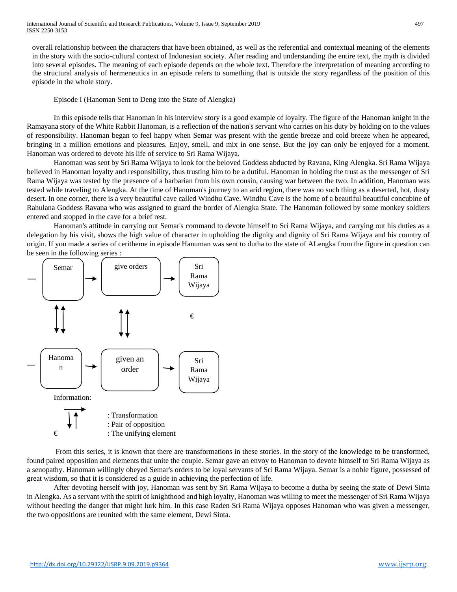overall relationship between the characters that have been obtained, as well as the referential and contextual meaning of the elements in the story with the socio-cultural context of Indonesian society. After reading and understanding the entire text, the myth is divided into several episodes. The meaning of each episode depends on the whole text. Therefore the interpretation of meaning according to the structural analysis of hermeneutics in an episode refers to something that is outside the story regardless of the position of this episode in the whole story.

# Episode I (Hanoman Sent to Deng into the State of Alengka)

In this episode tells that Hanoman in his interview story is a good example of loyalty. The figure of the Hanoman knight in the Ramayana story of the White Rabbit Hanoman, is a reflection of the nation's servant who carries on his duty by holding on to the values of responsibility. Hanoman began to feel happy when Semar was present with the gentle breeze and cold breeze when he appeared, bringing in a million emotions and pleasures. Enjoy, smell, and mix in one sense. But the joy can only be enjoyed for a moment. Hanoman was ordered to devote his life of service to Sri Rama Wijaya.

Hanoman was sent by Sri Rama Wijaya to look for the beloved Goddess abducted by Ravana, King Alengka. Sri Rama Wijaya believed in Hanoman loyalty and responsibility, thus trusting him to be a dutiful. Hanoman in holding the trust as the messenger of Sri Rama Wijaya was tested by the presence of a barbarian from his own cousin, causing war between the two. In addition, Hanoman was tested while traveling to Alengka. At the time of Hanoman's journey to an arid region, there was no such thing as a deserted, hot, dusty desert. In one corner, there is a very beautiful cave called Windhu Cave. Windhu Cave is the home of a beautiful beautiful concubine of Rahulana Goddess Ravana who was assigned to guard the border of Alengka State. The Hanoman followed by some monkey soldiers entered and stopped in the cave for a brief rest.

Hanoman's attitude in carrying out Semar's command to devote himself to Sri Rama Wijaya, and carrying out his duties as a delegation by his visit, shows the high value of character in upholding the dignity and dignity of Sri Rama Wijaya and his country of origin. If you made a series of ceritheme in episode Hanuman was sent to dutha to the state of ALengka from the figure in question can be seen in the following series :



From this series, it is known that there are transformations in these stories. In the story of the knowledge to be transformed, found paired opposition and elements that unite the couple. Semar gave an envoy to Hanoman to devote himself to Sri Rama Wijaya as a senopathy. Hanoman willingly obeyed Semar's orders to be loyal servants of Sri Rama Wijaya. Semar is a noble figure, possessed of great wisdom, so that it is considered as a guide in achieving the perfection of life.

After devoting herself with joy, Hanoman was sent by Sri Rama Wijaya to become a dutha by seeing the state of Dewi Sinta in Alengka. As a servant with the spirit of knighthood and high loyalty, Hanoman was willing to meet the messenger of Sri Rama Wijaya without heeding the danger that might lurk him. In this case Raden Sri Rama Wijaya opposes Hanoman who was given a messenger, the two oppositions are reunited with the same element, Dewi Sinta.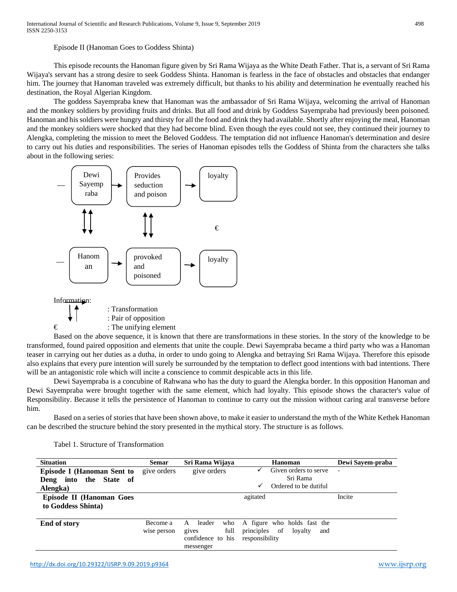Episode II (Hanoman Goes to Goddess Shinta)

This episode recounts the Hanoman figure given by Sri Rama Wijaya as the White Death Father. That is, a servant of Sri Rama Wijaya's servant has a strong desire to seek Goddess Shinta. Hanoman is fearless in the face of obstacles and obstacles that endanger him. The journey that Hanoman traveled was extremely difficult, but thanks to his ability and determination he eventually reached his destination, the Royal Algerian Kingdom.

The goddess Sayempraba knew that Hanoman was the ambassador of Sri Rama Wijaya, welcoming the arrival of Hanoman and the monkey soldiers by providing fruits and drinks. But all food and drink by Goddess Sayempraba had previously been poisoned. Hanoman and his soldiers were hungry and thirsty for all the food and drink they had available. Shortly after enjoying the meal, Hanoman and the monkey soldiers were shocked that they had become blind. Even though the eyes could not see, they continued their journey to Alengka, completing the mission to meet the Beloved Goddess. The temptation did not influence Hanoman's determination and desire to carry out his duties and responsibilities. The series of Hanoman episodes tells the Goddess of Shinta from the characters she talks about in the following series:



 $\epsilon$  : The unifying element

Based on the above sequence, it is known that there are transformations in these stories. In the story of the knowledge to be transformed, found paired opposition and elements that unite the couple. Dewi Sayempraba became a third party who was a Hanoman teaser in carrying out her duties as a dutha, in order to undo going to Alengka and betraying Sri Rama Wijaya. Therefore this episode also explains that every pure intention will surely be surrounded by the temptation to deflect good intentions with bad intentions. There will be an antagonistic role which will incite a conscience to commit despicable acts in this life.

Dewi Sayempraba is a concubine of Rahwana who has the duty to guard the Alengka border. In this opposition Hanoman and Dewi Sayempraba were brought together with the same element, which had loyalty. This episode shows the character's value of Responsibility. Because it tells the persistence of Hanoman to continue to carry out the mission without caring aral transverse before him.

Based on a series of stories that have been shown above, to make it easier to understand the myth of the White Kethek Hanoman can be described the structure behind the story presented in the mythical story. The structure is as follows.

Tabel 1. Structure of Transformation

| <b>Situation</b>                                      | <b>Semar</b>            | Sri Rama Wijaya                                                       | Hanoman                                                                             | Dewi Sayem-praba         |
|-------------------------------------------------------|-------------------------|-----------------------------------------------------------------------|-------------------------------------------------------------------------------------|--------------------------|
| <b>Episode I (Hanoman Sent to</b>                     | give orders             | give orders                                                           | Given orders to serve<br>Sri Rama                                                   | $\overline{\phantom{a}}$ |
| into the State of<br>Deng<br>Alengka)                 |                         |                                                                       | Ordered to be dutiful<br>✓                                                          |                          |
| <b>Episode II (Hanoman Goes</b><br>to Goddess Shinta) |                         |                                                                       | agitated                                                                            | Incite                   |
| End of story                                          | Become a<br>wise person | leader<br>who<br>A<br>full<br>gives<br>confidence to his<br>messenger | A figure who holds fast the<br>principles<br>of<br>lovalty<br>and<br>responsibility |                          |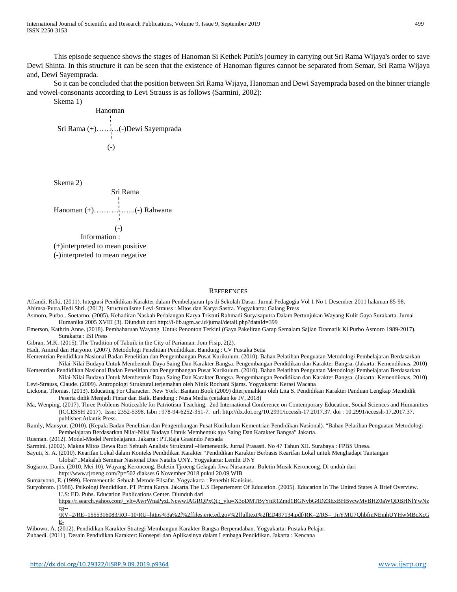This episode sequence shows the stages of Hanoman Si Kethek Putih's journey in carrying out Sri Rama Wijaya's order to save Dewi Shinta. In this structure it can be seen that the existence of Hanoman figures cannot be separated from Semar, Sri Rama Wijaya and, Dewi Sayemprada.

So it can be concluded that the position between Sri Rama Wijaya, Hanoman and Dewi Sayemprada based on the binner triangle and vowel-consonants according to Levi Strauss is as follows (Sarmini, 2002):

Skema 1)

 Hanoman Sri Rama (+)………(-)Dewi Sayemprada (-)

Skema 2)



#### **REFERENCES**

Affandi, Rifki. (2011). Integrasi Pendidikan Karakter dalam Pembelajaran Ips di Sekolah Dasar. Jurnal Pedagogia Vol 1 No 1 Desember 2011 halaman 85-98. Ahimsa-Putra,Hedi Shri. (2012). Structuralisme Levi-Strauss : Mitos dan Karya Sastra. Yogyakarta: Galang Press

- Asmoro, Purbo,. Soetarno. (2005). Kehadiran Naskah Pedalangan Karya Tristuti Rahmadi Suryasaputra Dalam Pertunjukan Wayang Kulit Gaya Surakarta. Jurnal Humanika 2005 XVIII (3). Diunduh dari http://i-lib.ugm.ac.id/jurnal/detail.php?dataId=399
- Emerson, Kathrin Anne. (2018). Pembaharuan Wayang Untuk Penonton Terkini (Gaya Pakeliran Garap Semalam Sajian Dramatik Ki Purbo Asmoro 1989-2017). Surakarta : ISI Press

Gibran, M.K. (2015). The Tradition of Tabuik in the City of Pariaman. Jom Fisip, 2(2).

Hadi, Amirul dan Haryono. (2007). Metodologi Penelitian Pendidikan. Bandung : CV Pustaka Setia

Kementrian Pendidikan Nasional Badan Penelitian dan Pengembangan Pusat Kurikulum. (2010). Bahan Pelatihan Penguatan Metodologi Pembelajaran Berdasarkan Nilai-Nilai Budaya Untuk Membentuk Daya Saing Dan Karakter Bangsa. Pengembangan Pendidikan dan Karakter Bangsa. (Jakarta: Kemendiknas, 2010)

- Kementrian Pendidikan Nasional Badan Penelitian dan Pengembangan Pusat Kurikulum. (2010). Bahan Pelatihan Penguatan Metodologi Pembelajaran Berdasarkan Nilai-Nilai Budaya Untuk Membentuk Daya Saing Dan Karakter Bangsa. Pengembangan Pendidikan dan Karakter Bangsa. (Jakarta: Kemendiknas, 2010) Levi-Strauss, Claude. (2009). Antropologi Struktural.terjemahan oleh Ninik Rochani Sjams. Yogyakarta: Kerasi Wacana
- Lickona, Thomas. (2013). Educating For Character. New York: Bantam Book (2009) diterjemahkan oleh Lita S. Pendidikan Karakter Panduan Lengkap Mendidik Peserta didik Menjadi Pintar dan Baik. Bandung : Nusa Media (cetakan ke IV, 2018)
- Ma, Wenping. (2017). Three Problems Noticeable for Patriotism Teaching. 2nd International Conference on Contemporary Education, Social Sciences and Humanities (ICCESSH 2017). Issn: 2352-5398. Isbn : 978-94-6252-351-7. url: http://dx.doi.org/10.2991/iccessh-17.2017.37. doi : 10.2991/iccessh-17.2017.37. publisher:Atlantis Press.
- Ramly, Mansyur. (2010). (Kepala Badan Penelitian dan Pengembangan Pusat Kurikulum Kementrian Pendidikan Nasional). "Bahan Pelatihan Penguatan Metodologi Pembelajaran Berdasarkan Nilai-Nilai Budaya Untuk Membentuk aya Saing Dan Karakter Bangsa" Jakarta.
- Rusman. (2012). Model-Model Pembelajaran. Jakarta : PT.Raja Grasindo Persada
- Sarmini. (2002). Makna Mitos Dewa Ruci Sebuah Analisis Struktural –Hemeneutik. Jurnal Prasasti. No 47 Tahun XII. Surabaya : FPBS Unesa.
- Sayuti, S. A. (2010). Kearifan Lokal dalam Konteks Pendidikan Karakter "Pendidikan Karakter Berbasis Kearifan Lokal untuk Menghadapi Tantangan Global"..Makalah Seminar Nasional Dies Natalis UNY. Yogyakarta: Lemlit UNY
- Sugiarto, Danis. (2010, Mei 10). Wayang Keroncong. Buletin Tjroeng Gelagak Jiwa Nusantara: Buletin Musik Keroncong. Di unduh dari
	- http://www.tjroeng.com/?p=502 diakses 6 November 2018 pukul 20.09 WIB

Sumaryono, E. (1999). Hermeneutik: Sebuah Metode Filsafat. Yogyakarta : Penerbit Kanisius.

Suryobroto. (1988). Psikologi Pendidikan. PT Prima Karya. Jakarta.The U.S Departement Of Education. (2005). Education In The United States A Brief Overview.

U.S: ED. Pubs. Education Publications Center. Diunduh dari

[https://r.search.yahoo.com/\\_ylt=AwrWnaPyzLNcwwIAGRQPxQt.;\\_ylu=X3oDMTByYnR1Zmd1BGNvbG8DZ3ExBHBvcwMyBHZ0aWQDBHNlYwNz](https://r.search.yahoo.com/_ylt=AwrWnaPyzLNcwwIAGRQPxQt.;_ylu=X3oDMTByYnR1Zmd1BGNvbG8DZ3ExBHBvcwMyBHZ0aWQDBHNlYwNzcg--/RV=2/RE=1555316083/RO=10/RU=https%3a%2f%2ffiles.eric.ed.gov%2ffulltext%2fED497134.pdf/RK=2/RS=_JnYMU7QhbfmNEmhUYHwMBcXcGE-) [cg--](https://r.search.yahoo.com/_ylt=AwrWnaPyzLNcwwIAGRQPxQt.;_ylu=X3oDMTByYnR1Zmd1BGNvbG8DZ3ExBHBvcwMyBHZ0aWQDBHNlYwNzcg--/RV=2/RE=1555316083/RO=10/RU=https%3a%2f%2ffiles.eric.ed.gov%2ffulltext%2fED497134.pdf/RK=2/RS=_JnYMU7QhbfmNEmhUYHwMBcXcGE-)

[/RV=2/RE=1555316083/RO=10/RU=https%3a%2f%2ffiles.eric.ed.gov%2ffulltext%2fED497134.pdf/RK=2/RS=\\_JnYMU7QhbfmNEmhUYHwMBcXcG](https://r.search.yahoo.com/_ylt=AwrWnaPyzLNcwwIAGRQPxQt.;_ylu=X3oDMTByYnR1Zmd1BGNvbG8DZ3ExBHBvcwMyBHZ0aWQDBHNlYwNzcg--/RV=2/RE=1555316083/RO=10/RU=https%3a%2f%2ffiles.eric.ed.gov%2ffulltext%2fED497134.pdf/RK=2/RS=_JnYMU7QhbfmNEmhUYHwMBcXcGE-) [E-](https://r.search.yahoo.com/_ylt=AwrWnaPyzLNcwwIAGRQPxQt.;_ylu=X3oDMTByYnR1Zmd1BGNvbG8DZ3ExBHBvcwMyBHZ0aWQDBHNlYwNzcg--/RV=2/RE=1555316083/RO=10/RU=https%3a%2f%2ffiles.eric.ed.gov%2ffulltext%2fED497134.pdf/RK=2/RS=_JnYMU7QhbfmNEmhUYHwMBcXcGE-)

#### Wibowo, A. (2012). Pendidikan Karakter Strategi Membangun Karakter Bangsa Berperadaban. Yogyakarta: Pustaka Pelajar.

Zubaedi. (2011). Desain Pendidikan Karakter: Konsepsi dan Aplikasinya dalam Lembaga Pendidikan. Jakarta : Kencana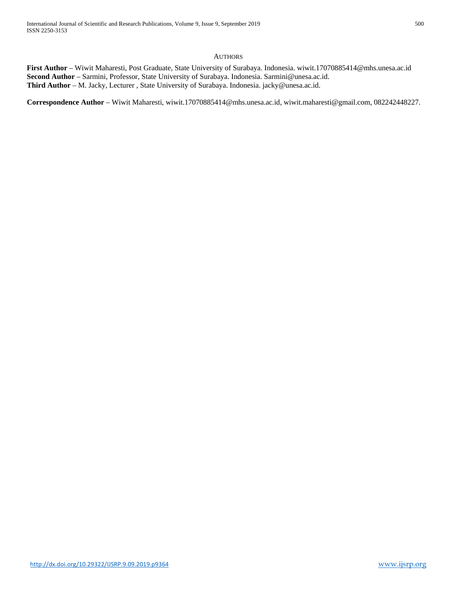# **AUTHORS**

**First Author** – Wiwit Maharesti, Post Graduate, State University of Surabaya. Indonesia. wiwit.17070885414@mhs.unesa.ac.id **Second Author** – Sarmini, Professor, State University of Surabaya. Indonesia. Sarmini@unesa.ac.id. **Third Author** – M. Jacky, Lecturer , State University of Surabaya. Indonesia. jacky@unesa.ac.id.

**Correspondence Author** – Wiwit Maharesti, wiwit.17070885414@mhs.unesa.ac.id, wiwit.maharesti@gmail.com, 082242448227.